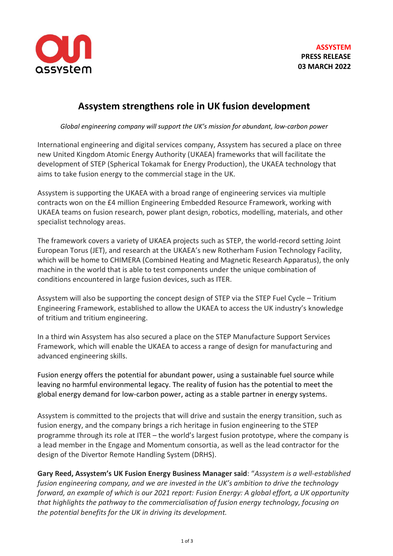

# **Assystem strengthens role in UK fusion development**

*Global engineering company will support the UK's mission for abundant, low-carbon power*

International engineering and digital services company, Assystem has secured a place on three new United Kingdom Atomic Energy Authority (UKAEA) frameworks that will facilitate the development of STEP (Spherical Tokamak for Energy Production), the UKAEA technology that aims to take fusion energy to the commercial stage in the UK.

Assystem is supporting the UKAEA with a broad range of engineering services via multiple contracts won on the £4 million Engineering Embedded Resource Framework, working with UKAEA teams on fusion research, power plant design, robotics, modelling, materials, and other specialist technology areas.

The framework covers a variety of UKAEA projects such as STEP, the world-record setting Joint European Torus (JET), and research at the UKAEA's new Rotherham Fusion Technology Facility, which will be home to CHIMERA (Combined Heating and Magnetic Research Apparatus), the only machine in the world that is able to test components under the unique combination of conditions encountered in large fusion devices, such as ITER.

Assystem will also be supporting the concept design of STEP via the STEP Fuel Cycle – Tritium Engineering Framework, established to allow the UKAEA to access the UK industry's knowledge of tritium and tritium engineering.

In a third win Assystem has also secured a place on the STEP Manufacture Support Services Framework, which will enable the UKAEA to access a range of design for manufacturing and advanced engineering skills.

Fusion energy offers the potential for abundant power, using a sustainable fuel source while leaving no harmful environmental legacy. The reality of fusion has the potential to meet the global energy demand for low-carbon power, acting as a stable partner in energy systems.

Assystem is committed to the projects that will drive and sustain the energy transition, such as fusion energy, and the company brings a rich heritage in fusion engineering to the STEP programme through its role at ITER – the world's largest fusion prototype, where the company is a lead member in the Engage and Momentum consortia, as well as the lead contractor for the design of the Divertor Remote Handling System (DRHS).

**Gary Reed, Assystem's UK Fusion Energy Business Manager said**: "*Assystem is a well-established fusion engineering company, and we are invested in the UK's ambition to drive the technology forward, an example of which is our 2021 report: Fusion Energy: A global effort, a UK opportunity that highlights the pathway to the commercialisation of fusion energy technology, focusing on the potential benefits for the UK in driving its development.*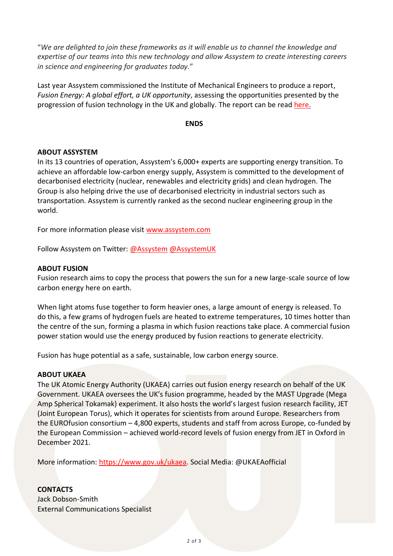"*We are delighted to join these frameworks as it will enable us to channel the knowledge and expertise of our teams into this new technology and allow Assystem to create interesting careers in science and engineering for graduates today.*"

Last year Assystem commissioned the Institute of Mechanical Engineers to produce a report, *Fusion Energy: A global effort, a UK opportunity*, assessing the opportunities presented by the progression of fusion technology in the UK and globally. The report can be read [here.](https://www.assystem.com/en/fusion-energy-report/)

### **ENDS**

# **ABOUT ASSYSTEM**

In its 13 countries of operation, Assystem's 6,000+ experts are supporting energy transition. To achieve an affordable low-carbon energy supply, Assystem is committed to the development of decarbonised electricity (nuclear, renewables and electricity grids) and clean hydrogen. The Group is also helping drive the use of decarbonised electricity in industrial sectors such as transportation. Assystem is currently ranked as the second nuclear engineering group in the world.

For more information please visit [www.assystem.com](https://urldefense.proofpoint.com/v2/url?u=https-3A__www.globenewswire.com_Tracker-3Fdata-3DPWgO-5FHWKGQLjTX26ww-2DwuUXV0fHevb-5Fw7Myex6q4vwwN86j-2D5GqdZcB56yyZdH2cUaD6GKHub50gTKt2ykpiD73-5F-2DQ-2DdBswo42UNqMZgRV8-3D&d=DwMGaQ&c=ZyjzMVfTJP7ds8FFWeNLylOBIELFrvfNTnUyB9eS_mk&r=y1RHEaRCvQDXFE15IHuv9VrLRlEn52Ru5VTdB5Hu2vc&m=VkEdgjiDDY_o3hyIQlR4nPLQWqSpwzrmCsR4S3dRzDs&s=r-2rPOCzgmLRvaBbFvImBikR4A7y7ULKfcnjgM0iRKo&e=)

Follow Assystem on Twitter: [@Assystem](https://twitter.com/Assystem) [@AssystemUK](https://twitter.com/AssystemUK)

### **ABOUT FUSION**

Fusion research aims to copy the process that powers the sun for a new large-scale source of low carbon energy here on earth.

When light atoms fuse together to form heavier ones, a large amount of energy is released. To do this, a few grams of hydrogen fuels are heated to extreme temperatures, 10 times hotter than the centre of the sun, forming a plasma in which fusion reactions take place. A commercial fusion power station would use the energy produced by fusion reactions to generate electricity.

Fusion has huge potential as a safe, sustainable, low carbon energy source.

#### **ABOUT UKAEA**

The UK Atomic Energy Authority (UKAEA) carries out fusion energy research on behalf of the UK Government. UKAEA oversees the UK's fusion programme, headed by the MAST Upgrade (Mega Amp Spherical Tokamak) experiment. It also hosts the world's largest fusion research facility, JET (Joint European Torus), which it operates for scientists from around Europe. Researchers from the EUROfusion consortium – 4,800 experts, students and staff from across Europe, co-funded by the European Commission – achieved world-record levels of fusion energy from JET in Oxford in December 2021.

More information: [https://www.gov.uk/ukaea.](https://www.gov.uk/ukaea) Social Media: @UKAEAofficial

# **CONTACTS**

Jack Dobson-Smith External Communications Specialist